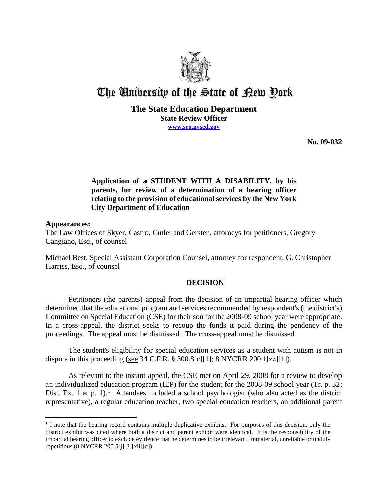

# The University of the State of Pew Pork

#### **The State Education Department State Review Officer www.sro.nysed.gov**

**No. 09-032** 

# **Application of a STUDENT WITH A DISABILITY, by his parents, for review of a determination of a hearing officer relating to the provision of educational services by the New York City Department of Education**

#### **Appearances:**

 $\overline{a}$ 

The Law Offices of Skyer, Castro, Cutler and Gersten, attorneys for petitioners, Gregory Cangiano, Esq., of counsel

Michael Best, Special Assistant Corporation Counsel, attorney for respondent, G. Christopher Harriss, Esq., of counsel

## **DECISION**

Petitioners (the parents) appeal from the decision of an impartial hearing officer which determined that the educational program and services recommended by respondent's (the district's) Committee on Special Education (CSE) for their son for the 2008-09 school year were appropriate. In a cross-appeal, the district seeks to recoup the funds it paid during the pendency of the proceedings. The appeal must be dismissed. The cross-appeal must be dismissed.

The student's eligibility for special education services as a student with autism is not in dispute in this proceeding (see 34 C.F.R.  $\S$  300.8[c][1]; 8 NYCRR 200.1[zz][1]).

As relevant to the instant appeal, the CSE met on April 29, 2008 for a review to develop an individualized education program (IEP) for the student for the 2008-09 school year (Tr. p. 32; Dist. Ex. 1 at p. 1).<sup>1</sup> Attendees included a school psychologist (who also acted as the district representative), a regular education teacher, two special education teachers, an additional parent

<sup>&</sup>lt;sup>1</sup> I note that the hearing record contains multiple duplicative exhibits. For purposes of this decision, only the district exhibit was cited where both a district and parent exhibit were identical. It is the responsibility of the impartial hearing officer to exclude evidence that he determines to be irrelevant, immaterial, unreliable or unduly repetitious (8 NYCRR 200.5[j][3][xii][c]).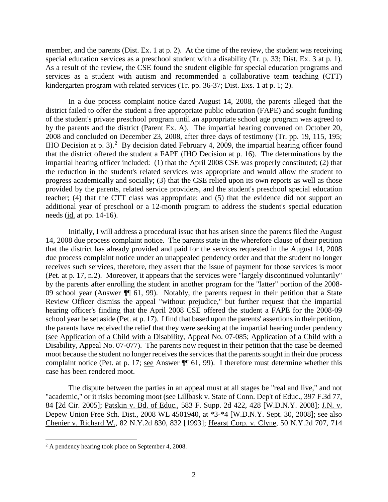member, and the parents (Dist. Ex. 1 at p. 2). At the time of the review, the student was receiving special education services as a preschool student with a disability (Tr. p. 33; Dist. Ex. 3 at p. 1). As a result of the review, the CSE found the student eligible for special education programs and services as a student with autism and recommended a collaborative team teaching (CTT) kindergarten program with related services (Tr. pp. 36-37; Dist. Exs. 1 at p. 1; 2).

In a due process complaint notice dated August 14, 2008, the parents alleged that the district failed to offer the student a free appropriate public education (FAPE) and sought funding of the student's private preschool program until an appropriate school age program was agreed to by the parents and the district (Parent Ex. A). The impartial hearing convened on October 20, 2008 and concluded on December 23, 2008, after three days of testimony (Tr. pp. 19, 115, 195; IHO Decision at p. 3).<sup>2</sup> By decision dated February 4, 2009, the impartial hearing officer found that the district offered the student a FAPE (IHO Decision at p. 16). The determinations by the impartial hearing officer included: (1) that the April 2008 CSE was properly constituted; (2) that the reduction in the student's related services was appropriate and would allow the student to progress academically and socially; (3) that the CSE relied upon its own reports as well as those provided by the parents, related service providers, and the student's preschool special education teacher; (4) that the CTT class was appropriate; and (5) that the evidence did not support an additional year of preschool or a 12-month program to address the student's special education needs (id. at pp. 14-16).

Initially, I will address a procedural issue that has arisen since the parents filed the August 14, 2008 due process complaint notice. The parents state in the wherefore clause of their petition that the district has already provided and paid for the services requested in the August 14, 2008 due process complaint notice under an unappealed pendency order and that the student no longer receives such services, therefore, they assert that the issue of payment for those services is moot (Pet. at p. 17, n.2). Moreover, it appears that the services were "largely discontinued voluntarily" by the parents after enrolling the student in another program for the "latter" portion of the 2008- 09 school year (Answer ¶¶ 61, 99). Notably, the parents request in their petition that a State Review Officer dismiss the appeal "without prejudice," but further request that the impartial hearing officer's finding that the April 2008 CSE offered the student a FAPE for the 2008-09 school year be set aside (Pet. at p. 17). I find that based upon the parents' assertions in their petition, the parents have received the relief that they were seeking at the impartial hearing under pendency (see Application of a Child with a Disability, Appeal No. 07-085; Application of a Child with a Disability, Appeal No. 07-077). The parents now request in their petition that the case be deemed moot because the student no longer receives the services that the parents sought in their due process complaint notice (Pet. at p. 17; see Answer ¶¶ 61, 99). I therefore must determine whether this case has been rendered moot.

The dispute between the parties in an appeal must at all stages be "real and live," and not "academic," or it risks becoming moot (see Lillbask v. State of Conn. Dep't of Educ., 397 F.3d 77, 84 [2d Cir. 2005]; Patskin v. Bd. of Educ., 583 F. Supp. 2d 422, 428 [W.D.N.Y. 2008]; J.N. v. Depew Union Free Sch. Dist., 2008 WL 4501940, at \*3-\*4 [W.D.N.Y. Sept. 30, 2008]; see also Chenier v. Richard W., 82 N.Y.2d 830, 832 [1993]; Hearst Corp. v. Clyne, 50 N.Y.2d 707, 714

<sup>&</sup>lt;sup>2</sup> A pendency hearing took place on September 4, 2008.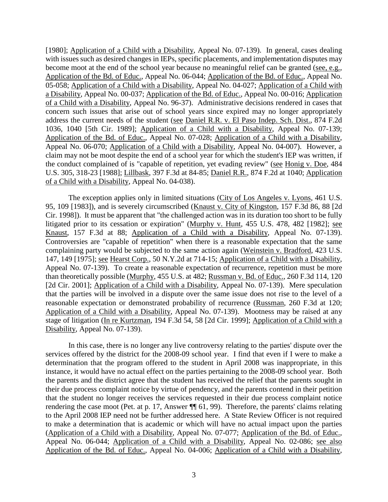[1980]; Application of a Child with a Disability, Appeal No. 07-139). In general, cases dealing with issues such as desired changes in IEPs, specific placements, and implementation disputes may become moot at the end of the school year because no meaningful relief can be granted (see, e.g., Application of the Bd. of Educ., Appeal No. 06-044; Application of the Bd. of Educ., Appeal No. 05-058; Application of a Child with a Disability, Appeal No. 04-027; Application of a Child with a Disability, Appeal No. 00-037; Application of the Bd. of Educ., Appeal No. 00-016; Application of a Child with a Disability, Appeal No. 96-37). Administrative decisions rendered in cases that concern such issues that arise out of school years since expired may no longer appropriately address the current needs of the student (see Daniel R.R. v. El Paso Indep. Sch. Dist., 874 F.2d 1036, 1040 [5th Cir. 1989]; Application of a Child with a Disability, Appeal No. 07-139; Application of the Bd. of Educ., Appeal No. 07-028; Application of a Child with a Disability, Appeal No. 06-070; Application of a Child with a Disability, Appeal No. 04-007). However, a claim may not be moot despite the end of a school year for which the student's IEP was written, if the conduct complained of is "capable of repetition, yet evading review" (see Honig v. Doe, 484 U.S. 305, 318-23 [1988]; Lillbask, 397 F.3d at 84-85; Daniel R.R., 874 F.2d at 1040; Application of a Child with a Disability, Appeal No. 04-038).

The exception applies only in limited situations (City of Los Angeles v. Lyons, 461 U.S. 95, 109 [1983]), and is severely circumscribed (Knaust v. City of Kingston, 157 F.3d 86, 88 [2d Cir. 1998]). It must be apparent that "the challenged action was in its duration too short to be fully litigated prior to its cessation or expiration" (Murphy v. Hunt, 455 U.S. 478, 482 [1982]; see Knaust, 157 F.3d at 88; Application of a Child with a Disability, Appeal No. 07-139). Controversies are "capable of repetition" when there is a reasonable expectation that the same complaining party would be subjected to the same action again (Weinstein v. Bradford, 423 U.S. 147, 149 [1975]; see Hearst Corp., 50 N.Y.2d at 714-15; Application of a Child with a Disability, Appeal No. 07-139). To create a reasonable expectation of recurrence, repetition must be more than theoretically possible (Murphy, 455 U.S. at 482; Russman v. Bd. of Educ., 260 F.3d 114, 120 [2d Cir. 2001]; Application of a Child with a Disability, Appeal No. 07-139). Mere speculation that the parties will be involved in a dispute over the same issue does not rise to the level of a reasonable expectation or demonstrated probability of recurrence (Russman, 260 F.3d at 120; Application of a Child with a Disability, Appeal No. 07-139). Mootness may be raised at any stage of litigation (In re Kurtzman, 194 F.3d 54, 58 [2d Cir. 1999]; Application of a Child with a Disability, Appeal No. 07-139).

In this case, there is no longer any live controversy relating to the parties' dispute over the services offered by the district for the 2008-09 school year. I find that even if I were to make a determination that the program offered to the student in April 2008 was inappropriate, in this instance, it would have no actual effect on the parties pertaining to the 2008-09 school year. Both the parents and the district agree that the student has received the relief that the parents sought in their due process complaint notice by virtue of pendency, and the parents contend in their petition that the student no longer receives the services requested in their due process complaint notice rendering the case moot (Pet. at p. 17, Answer ¶¶ 61, 99). Therefore, the parents' claims relating to the April 2008 IEP need not be further addressed here. A State Review Officer is not required to make a determination that is academic or which will have no actual impact upon the parties (Application of a Child with a Disability, Appeal No. 07-077; Application of the Bd. of Educ., Appeal No. 06-044; Application of a Child with a Disability, Appeal No. 02-086; see also Application of the Bd. of Educ., Appeal No. 04-006; Application of a Child with a Disability,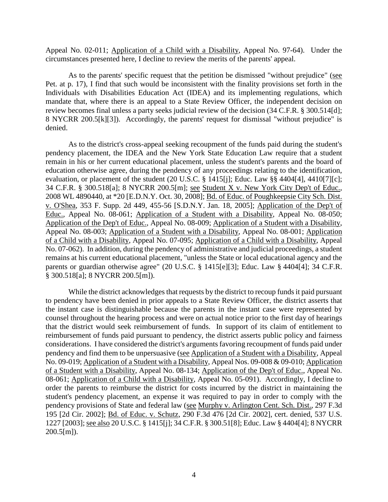Appeal No. 02-011; Application of a Child with a Disability, Appeal No. 97-64). Under the circumstances presented here, I decline to review the merits of the parents' appeal.

As to the parents' specific request that the petition be dismissed "without prejudice" (see Pet. at p. 17), I find that such would be inconsistent with the finality provisions set forth in the Individuals with Disabilities Education Act (IDEA) and its implementing regulations, which mandate that, where there is an appeal to a State Review Officer, the independent decision on review becomes final unless a party seeks judicial review of the decision (34 C.F.R. § 300.514[d]; 8 NYCRR 200.5[k][3]). Accordingly, the parents' request for dismissal "without prejudice" is denied.

As to the district's cross-appeal seeking recoupment of the funds paid during the student's pendency placement, the IDEA and the New York State Education Law require that a student remain in his or her current educational placement, unless the student's parents and the board of education otherwise agree, during the pendency of any proceedings relating to the identification, evaluation, or placement of the student (20 U.S.C. § 1415[j]; Educ. Law §§ 4404[4], 4410[7][c]; 34 C.F.R. § 300.518[a]; 8 NYCRR 200.5[m]; see Student X v. New York City Dep't of Educ., 2008 WL 4890440, at \*20 [E.D.N.Y. Oct. 30, 2008]; Bd. of Educ. of Poughkeepsie City Sch. Dist. v. O'Shea, 353 F. Supp. 2d 449, 455-56 [S.D.N.Y. Jan. 18, 2005]; Application of the Dep't of Educ., Appeal No. 08-061; Application of a Student with a Disability, Appeal No. 08-050; Application of the Dep't of Educ., Appeal No. 08-009; Application of a Student with a Disability, Appeal No. 08-003; Application of a Student with a Disability, Appeal No. 08-001; Application of a Child with a Disability, Appeal No. 07-095; Application of a Child with a Disability, Appeal No. 07-062). In addition, during the pendency of administrative and judicial proceedings, a student remains at his current educational placement, "unless the State or local educational agency and the parents or guardian otherwise agree" (20 U.S.C. § 1415[e][3]; Educ. Law § 4404[4]; 34 C.F.R. § 300.518[a]; 8 NYCRR 200.5[m]).

While the district acknowledges that requests by the district to recoup funds it paid pursuant to pendency have been denied in prior appeals to a State Review Officer, the district asserts that the instant case is distinguishable because the parents in the instant case were represented by counsel throughout the hearing process and were on actual notice prior to the first day of hearings that the district would seek reimbursement of funds. In support of its claim of entitlement to reimbursement of funds paid pursuant to pendency, the district asserts public policy and fairness considerations. I have considered the district's arguments favoring recoupment of funds paid under pendency and find them to be unpersuasive (see Application of a Student with a Disability, Appeal No. 09-019; Application of a Student with a Disability, Appeal Nos. 09-008 & 09-010; Application of a Student with a Disability, Appeal No. 08-134; Application of the Dep't of Educ., Appeal No. 08-061; Application of a Child with a Disability, Appeal No. 05-091). Accordingly, I decline to order the parents to reimburse the district for costs incurred by the district in maintaining the student's pendency placement, an expense it was required to pay in order to comply with the pendency provisions of State and federal law (see Murphy v. Arlington Cent. Sch. Dist., 297 F.3d 195 [2d Cir. 2002]; Bd. of Educ. v. Schutz, 290 F.3d 476 [2d Cir. 2002], cert. denied, 537 U.S. 1227 [2003]; see also 20 U.S.C. § 1415[j]; 34 C.F.R. § 300.51[8]; Educ. Law § 4404[4]; 8 NYCRR  $200.5$ [m]).